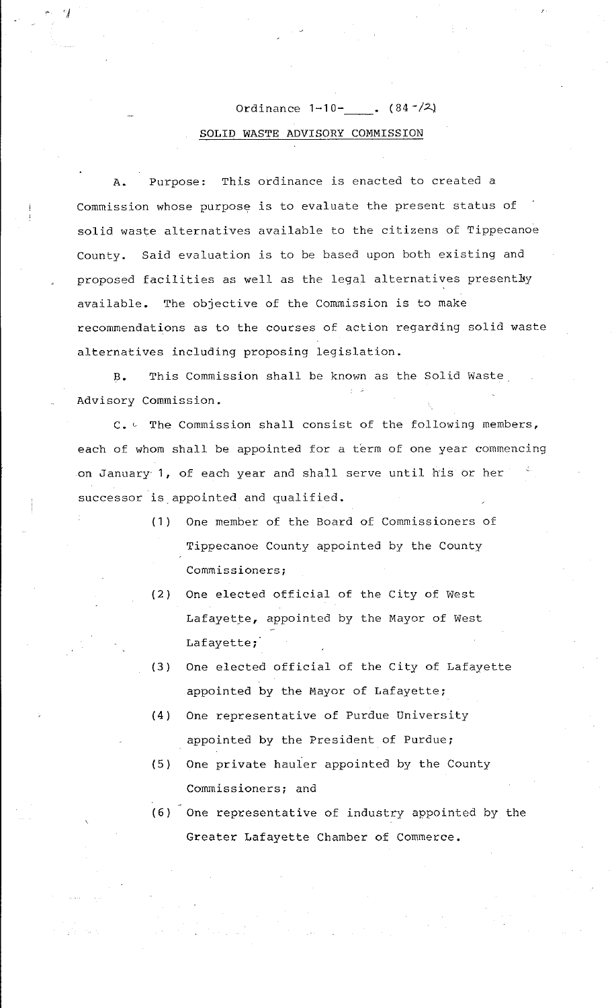## Ordinance  $1-10$ -  $(84-/2)$ SOLID WASTE ADVISORY COMMISSION

 $\cdot$   $\cdot$ 

Purpose: This ordinance is enacted to created a Commission whose purpose is to evaluate the present status of solid waste alternatives available to the citizens of Tippecanoe County. Said evaluation is to be based upon both existing and proposed facilities as well as the legal alternatives presently available. The objective of the Commission is to make recommendations as to the courses of action regarding solid waste alternatives including proposing legislation.

B. This Commission shall be known as the Solid Waste Advisory Commission.

 $C.$  The Commission shall consist of the following members, each of whom shall be appointed for a term of one year commencing on January 1, of each year and shall serve until his or her successor is appointed and qualified.

- (1) One member of the Board of Commissioners of Tippecanoe County appointed by the County Commissioners;
- (2) One elected official of the City of West Lafayette, appointed by the Mayor of West Lafayette;
- (3) One elected official of the City of Lafayette appointed by the Mayor of Lafayette;
- (4) One representative of Purdue University appointed by the President of Purdue;
- (5) One private hauler appointed by the County Commissioners; and
- (6) One representative of industry appointed by the Greater Lafayette Chamber of Commerce.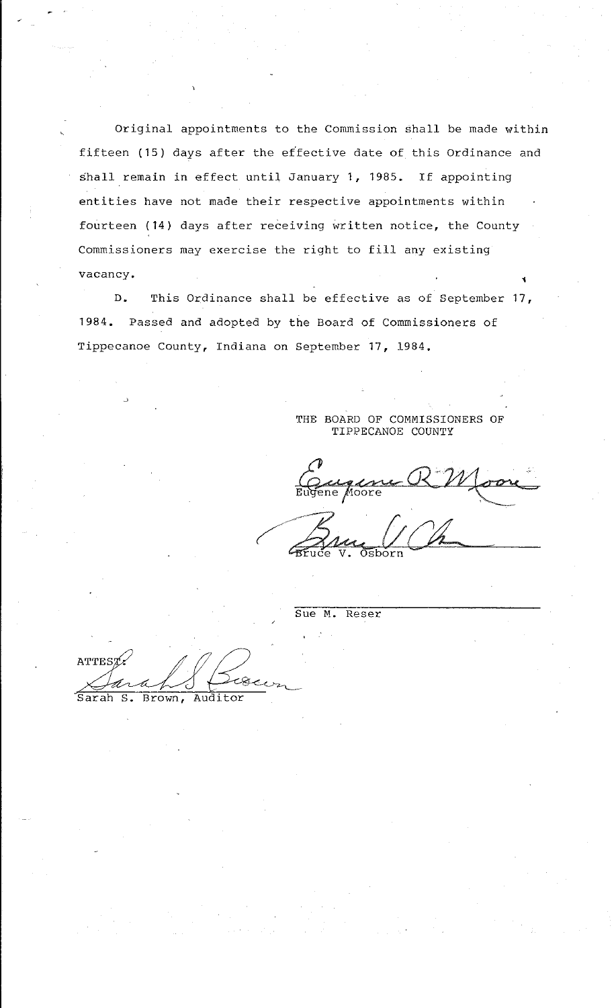Original appointments to the Commission shall be made within fifteen (15) days after the effective date of this Ordinance and shall remain in effect until January 1, 1985. If appointing entities have not made their respective appointments within fourteen (14) days after receiving written notice, the County Commissioners may exercise the right to fill any existing vacancy. 1

D. This Ordinance shall be effective as of September 17, 1984. Passed and adopted by the Board of Commissioners of Tippecanoe County, Indiana on September 17, 1984.

> THE BOARD OF COMMISSIONERS OF TIPPECANOE COUNTY

Comme RNJoon (Brug UCh

Sue M. Reser

Sue M. Reser<br>ATTEST,<br>Sarah S. Brown, Auditor

Sarah S. Brown, Auditor

~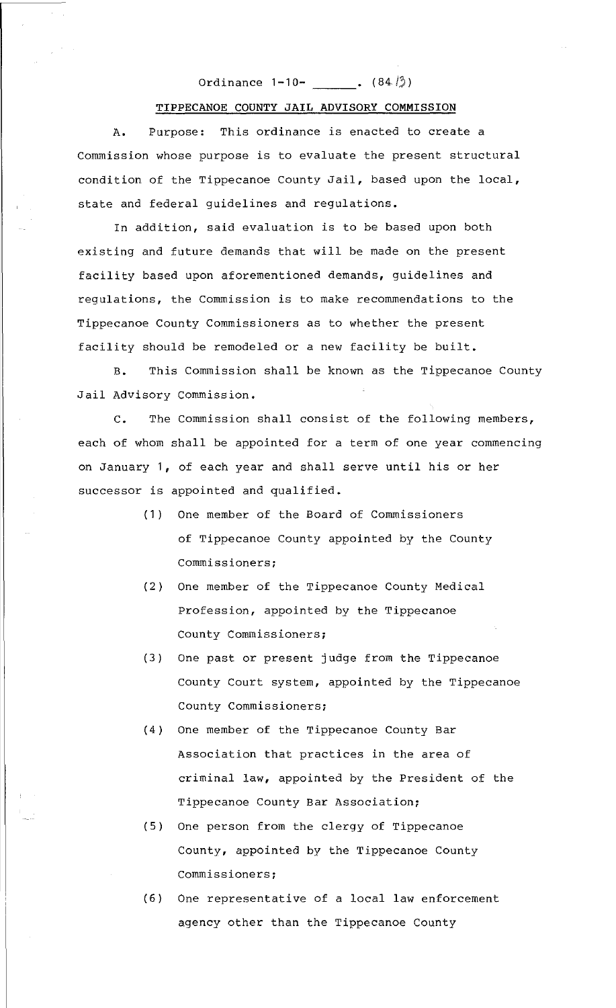## Ordinance  $1-10-$  .  $(84.13)$

## TIPPECANOE COUNTY JAIL ADVISORY COMMISSION

A. Purpose: This ordinance is enacted to create a Commission whose purpose is to evaluate the present structural condition of the Tippecanoe County Jail, based upon the local, state and federal guidelines and regulations.

In addition, said evaluation is to be based upon both existing and future demands that will be made on the present facility based upon aforementioned demands, guidelines and regulations, the Commission is to make recommendations to the Tippecanoe County Commissioners as to whether the present facility should be remodeled or a new facility be built.

B. This Commission shall be known as the Tippecanoe County Jail Advisory Commission.

c. The Commission shall consist of the following members, each of whom shall be appointed for a term of one year commencing on January 1, of each year and shall serve until his or her successor is appointed and qualified.

- (1) One member of the Board of Commissioners of Tippecanoe County appointed by the County Commissioners;
- (2) One member of the Tippecanoe County Medical Profession, appointed by the Tippecanoe County Commissioners;
- (3) One past or present judge from the Tippecanoe County Court system, appointed by the Tippecanoe County Commissioners;
- (4) One member of the Tippecanoe County Bar Association that practices in the area of criminal law, appointed by the President of the Tippecanoe County Bar Association;
- (5) One person from the clergy of Tippecanoe County, appointed by the Tippecanoe County Commissioners;
- (6) One representative of a local law enforcement agency other than the Tippecanoe County